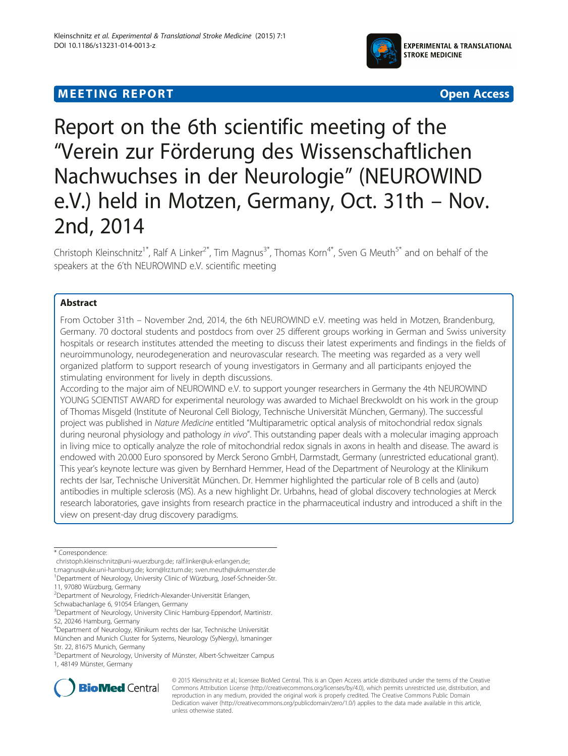

# $\mathcal{L}_{\mathbf{F}}$  . The expectation of the experimental control  $\mathcal{L}_{\mathbf{F}}$



# Report on the 6th scientific meeting of the "Verein zur Förderung des Wissenschaftlichen Nachwuchses in der Neurologie" (NEUROWIND e.V.) held in Motzen, Germany, Oct. 31th – Nov. 2nd, 2014

Christoph Kleinschnitz<sup>1\*</sup>, Ralf A Linker<sup>2\*</sup>, Tim Magnus<sup>3\*</sup>, Thomas Korn<sup>4\*</sup>, Sven G Meuth<sup>5\*</sup> and on behalf of the speakers at the 6'th NEUROWIND e.V. scientific meeting

## **Abstract**

From October 31th – November 2nd, 2014, the 6th NEUROWIND e.V. meeting was held in Motzen, Brandenburg, Germany. 70 doctoral students and postdocs from over 25 different groups working in German and Swiss university hospitals or research institutes attended the meeting to discuss their latest experiments and findings in the fields of neuroimmunology, neurodegeneration and neurovascular research. The meeting was regarded as a very well organized platform to support research of young investigators in Germany and all participants enjoyed the stimulating environment for lively in depth discussions.

According to the major aim of NEUROWIND e.V. to support younger researchers in Germany the 4th NEUROWIND YOUNG SCIENTIST AWARD for experimental neurology was awarded to Michael Breckwoldt on his work in the group of Thomas Misgeld (Institute of Neuronal Cell Biology, Technische Universität München, Germany). The successful project was published in Nature Medicine entitled "Multiparametric optical analysis of mitochondrial redox signals during neuronal physiology and pathology in vivo". This outstanding paper deals with a molecular imaging approach in living mice to optically analyze the role of mitochondrial redox signals in axons in health and disease. The award is endowed with 20.000 Euro sponsored by Merck Serono GmbH, Darmstadt, Germany (unrestricted educational grant). This year's keynote lecture was given by Bernhard Hemmer, Head of the Department of Neurology at the Klinikum rechts der Isar, Technische Universität München. Dr. Hemmer highlighted the particular role of B cells and (auto) antibodies in multiple sclerosis (MS). As a new highlight Dr. Urbahns, head of global discovery technologies at Merck research laboratories, gave insights from research practice in the pharmaceutical industry and introduced a shift in the view on present-day drug discovery paradigms.

\* Correspondence:

Schwabachanlage 6, 91054 Erlangen, Germany

<sup>5</sup> Department of Neurology, University of Münster, Albert-Schweitzer Campus 1, 48149 Münster, Germany



© 2015 Kleinschnitz et al.; licensee BioMed Central. This is an Open Access article distributed under the terms of the Creative Commons Attribution License [\(http://creativecommons.org/licenses/by/4.0\)](http://creativecommons.org/licenses/by/4.0), which permits unrestricted use, distribution, and reproduction in any medium, provided the original work is properly credited. The Creative Commons Public Domain Dedication waiver [\(http://creativecommons.org/publicdomain/zero/1.0/](http://creativecommons.org/publicdomain/zero/1.0/)) applies to the data made available in this article, unless otherwise stated.

[christoph.kleinschnitz@uni-wuerzburg.de](mailto:christoph.kleinschnitz@uni-wuerzburg.de); [ralf.linker@uk-erlangen.de;](mailto:ralf.linker@uk-erlangen.de)

[t.magnus@uke.uni-hamburg.de;](mailto:t.magnus@uke.uni-hamburg.de) [korn@lrz.tum.de](mailto:korn@lrz.tum.de); [sven.meuth@ukmuenster.de](mailto:sven.meuth@ukmuenster.de) <sup>1</sup> <sup>1</sup>Department of Neurology, University Clinic of Würzburg, Josef-Schneider-Str.

<sup>11, 97080</sup> Würzburg, Germany

<sup>2</sup> Department of Neurology, Friedrich-Alexander-Universität Erlangen,

<sup>&</sup>lt;sup>3</sup>Department of Neurology, University Clinic Hamburg-Eppendorf, Martinistr. 52, 20246 Hamburg, Germany

<sup>4</sup> Department of Neurology, Klinikum rechts der Isar, Technische Universität München and Munich Cluster for Systems, Neurology (SyNergy), Ismaninger Str. 22, 81675 Munich, Germany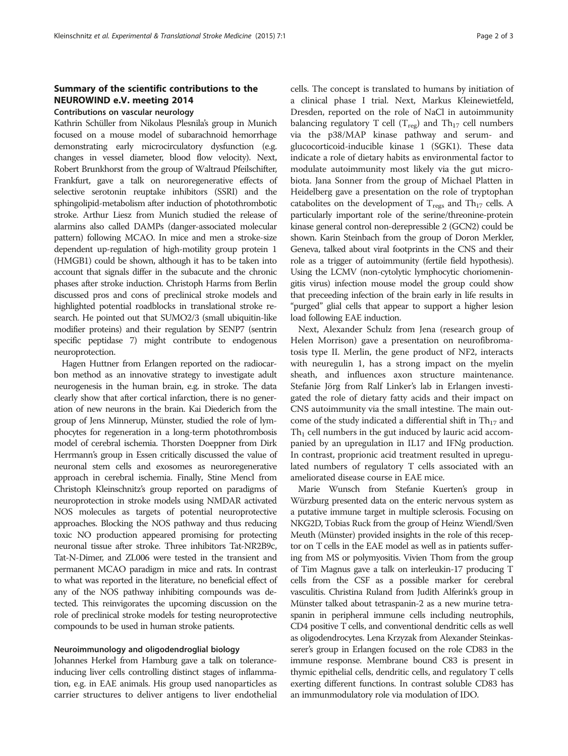# Summary of the scientific contributions to the NEUROWIND e.V. meeting 2014

# Contributions on vascular neurology

Kathrin Schüller from Nikolaus Plesnila's group in Munich focused on a mouse model of subarachnoid hemorrhage demonstrating early microcirculatory dysfunction (e.g. changes in vessel diameter, blood flow velocity). Next, Robert Brunkhorst from the group of Waltraud Pfeilschifter, Frankfurt, gave a talk on neuroregenerative effects of selective serotonin reuptake inhibitors (SSRI) and the sphingolipid-metabolism after induction of photothrombotic stroke. Arthur Liesz from Munich studied the release of alarmins also called DAMPs (danger-associated molecular pattern) following MCAO. In mice and men a stroke-size dependent up-regulation of high-motility group protein 1 (HMGB1) could be shown, although it has to be taken into account that signals differ in the subacute and the chronic phases after stroke induction. Christoph Harms from Berlin discussed pros and cons of preclinical stroke models and highlighted potential roadblocks in translational stroke research. He pointed out that SUMO2/3 (small ubiquitin-like modifier proteins) and their regulation by SENP7 (sentrin specific peptidase 7) might contribute to endogenous neuroprotection.

Hagen Huttner from Erlangen reported on the radiocarbon method as an innovative strategy to investigate adult neurogenesis in the human brain, e.g. in stroke. The data clearly show that after cortical infarction, there is no generation of new neurons in the brain. Kai Diederich from the group of Jens Minnerup, Münster, studied the role of lymphocytes for regeneration in a long-term photothrombosis model of cerebral ischemia. Thorsten Doeppner from Dirk Herrmann's group in Essen critically discussed the value of neuronal stem cells and exosomes as neuroregenerative approach in cerebral ischemia. Finally, Stine Mencl from Christoph Kleinschnitz's group reported on paradigms of neuroprotection in stroke models using NMDAR activated NOS molecules as targets of potential neuroprotective approaches. Blocking the NOS pathway and thus reducing toxic NO production appeared promising for protecting neuronal tissue after stroke. Three inhibitors Tat-NR2B9c, Tat-N-Dimer, and ZL006 were tested in the transient and permanent MCAO paradigm in mice and rats. In contrast to what was reported in the literature, no beneficial effect of any of the NOS pathway inhibiting compounds was detected. This reinvigorates the upcoming discussion on the role of preclinical stroke models for testing neuroprotective compounds to be used in human stroke patients.

### Neuroimmunology and oligodendroglial biology

Johannes Herkel from Hamburg gave a talk on toleranceinducing liver cells controlling distinct stages of inflammation, e.g. in EAE animals. His group used nanoparticles as carrier structures to deliver antigens to liver endothelial

cells. The concept is translated to humans by initiation of a clinical phase I trial. Next, Markus Kleinewietfeld, Dresden, reported on the role of NaCl in autoimmunity balancing regulatory T cell  $(T_{reg})$  and  $Th_{17}$  cell numbers via the p38/MAP kinase pathway and serum- and glucocorticoid-inducible kinase 1 (SGK1). These data indicate a role of dietary habits as environmental factor to modulate autoimmunity most likely via the gut microbiota. Jana Sonner from the group of Michael Platten in Heidelberg gave a presentation on the role of tryptophan catabolites on the development of  $T_{\text{regs}}$  and  $Th_{17}$  cells. A particularly important role of the serine/threonine-protein kinase general control non-derepressible 2 (GCN2) could be shown. Karin Steinbach from the group of Doron Merkler, Geneva, talked about viral footprints in the CNS and their role as a trigger of autoimmunity (fertile field hypothesis). Using the LCMV (non-cytolytic lymphocytic choriomeningitis virus) infection mouse model the group could show that preceeding infection of the brain early in life results in "purged" glial cells that appear to support a higher lesion load following EAE induction.

Next, Alexander Schulz from Jena (research group of Helen Morrison) gave a presentation on neurofibromatosis type II. Merlin, the gene product of NF2, interacts with neuregulin 1, has a strong impact on the myelin sheath, and influences axon structure maintenance. Stefanie Jörg from Ralf Linker's lab in Erlangen investigated the role of dietary fatty acids and their impact on CNS autoimmunity via the small intestine. The main outcome of the study indicated a differential shift in  $Th_{17}$  and  $Th<sub>1</sub>$  cell numbers in the gut induced by lauric acid accompanied by an upregulation in IL17 and IFNg production. In contrast, proprionic acid treatment resulted in upregulated numbers of regulatory T cells associated with an ameliorated disease course in EAE mice.

Marie Wunsch from Stefanie Kuerten's group in Würzburg presented data on the enteric nervous system as a putative immune target in multiple sclerosis. Focusing on NKG2D, Tobias Ruck from the group of Heinz Wiendl/Sven Meuth (Münster) provided insights in the role of this receptor on T cells in the EAE model as well as in patients suffering from MS or polymyositis. Vivien Thom from the group of Tim Magnus gave a talk on interleukin-17 producing T cells from the CSF as a possible marker for cerebral vasculitis. Christina Ruland from Judith Alferink's group in Münster talked about tetraspanin-2 as a new murine tetraspanin in peripheral immune cells including neutrophils, CD4 positive T cells, and conventional dendritic cells as well as oligodendrocytes. Lena Krzyzak from Alexander Steinkasserer's group in Erlangen focused on the role CD83 in the immune response. Membrane bound C83 is present in thymic epithelial cells, dendritic cells, and regulatory T cells exerting different functions. In contrast soluble CD83 has an immunmodulatory role via modulation of IDO.